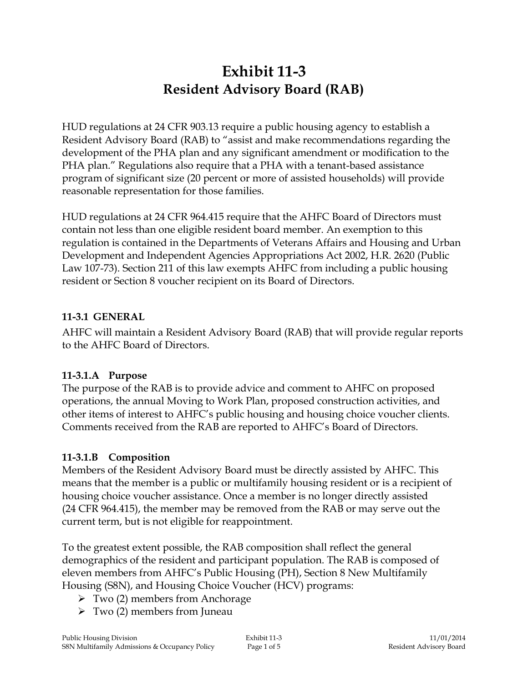# **Exhibit 11-3 Resident Advisory Board (RAB)**

HUD regulations at 24 CFR 903.13 require a public housing agency to establish a Resident Advisory Board (RAB) to "assist and make recommendations regarding the development of the PHA plan and any significant amendment or modification to the PHA plan." Regulations also require that a PHA with a tenant-based assistance program of significant size (20 percent or more of assisted households) will provide reasonable representation for those families.

HUD regulations at 24 CFR 964.415 require that the AHFC Board of Directors must contain not less than one eligible resident board member. An exemption to this regulation is contained in the Departments of Veterans Affairs and Housing and Urban Development and Independent Agencies Appropriations Act 2002, H.R. 2620 (Public Law 107-73). Section 211 of this law exempts AHFC from including a public housing resident or Section 8 voucher recipient on its Board of Directors.

#### **11-3.1 GENERAL**

AHFC will maintain a Resident Advisory Board (RAB) that will provide regular reports to the AHFC Board of Directors.

# **11-3.1.A Purpose**

The purpose of the RAB is to provide advice and comment to AHFC on proposed operations, the annual Moving to Work Plan, proposed construction activities, and other items of interest to AHFC's public housing and housing choice voucher clients. Comments received from the RAB are reported to AHFC's Board of Directors.

# **11-3.1.B Composition**

Members of the Resident Advisory Board must be directly assisted by AHFC. This means that the member is a public or multifamily housing resident or is a recipient of housing choice voucher assistance. Once a member is no longer directly assisted (24 CFR 964.415), the member may be removed from the RAB or may serve out the current term, but is not eligible for reappointment.

To the greatest extent possible, the RAB composition shall reflect the general demographics of the resident and participant population. The RAB is composed of eleven members from AHFC's Public Housing (PH), Section 8 New Multifamily Housing (S8N), and Housing Choice Voucher (HCV) programs:

- $\triangleright$  Two (2) members from Anchorage
- $\triangleright$  Two (2) members from Juneau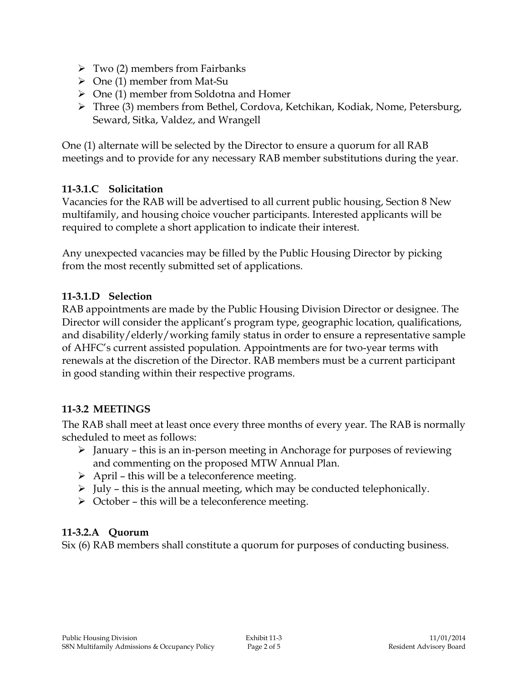- $\triangleright$  Two (2) members from Fairbanks
- $\triangleright$  One (1) member from Mat-Su
- $\triangleright$  One (1) member from Soldotna and Homer
- Three (3) members from Bethel, Cordova, Ketchikan, Kodiak, Nome, Petersburg, Seward, Sitka, Valdez, and Wrangell

One (1) alternate will be selected by the Director to ensure a quorum for all RAB meetings and to provide for any necessary RAB member substitutions during the year.

## **11-3.1.C Solicitation**

Vacancies for the RAB will be advertised to all current public housing, Section 8 New multifamily, and housing choice voucher participants. Interested applicants will be required to complete a short application to indicate their interest.

Any unexpected vacancies may be filled by the Public Housing Director by picking from the most recently submitted set of applications.

#### **11-3.1.D Selection**

RAB appointments are made by the Public Housing Division Director or designee. The Director will consider the applicant's program type, geographic location, qualifications, and disability/elderly/working family status in order to ensure a representative sample of AHFC's current assisted population. Appointments are for two-year terms with renewals at the discretion of the Director. RAB members must be a current participant in good standing within their respective programs.

# **11-3.2 MEETINGS**

The RAB shall meet at least once every three months of every year. The RAB is normally scheduled to meet as follows:

- $\triangleright$  January this is an in-person meeting in Anchorage for purposes of reviewing and commenting on the proposed MTW Annual Plan.
- $\triangleright$  April this will be a teleconference meeting.
- $\triangleright$  July this is the annual meeting, which may be conducted telephonically.
- $\triangleright$  October this will be a teleconference meeting.

#### **11-3.2.A Quorum**

Six (6) RAB members shall constitute a quorum for purposes of conducting business.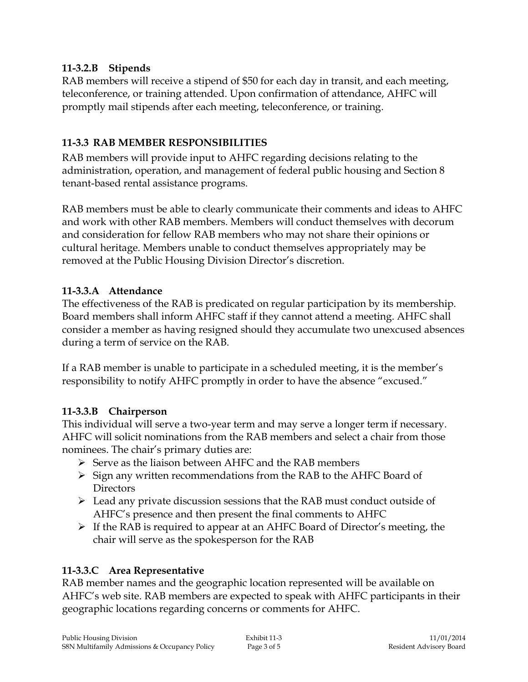## **11-3.2.B Stipends**

RAB members will receive a stipend of \$50 for each day in transit, and each meeting, teleconference, or training attended. Upon confirmation of attendance, AHFC will promptly mail stipends after each meeting, teleconference, or training.

## **11-3.3 RAB MEMBER RESPONSIBILITIES**

RAB members will provide input to AHFC regarding decisions relating to the administration, operation, and management of federal public housing and Section 8 tenant-based rental assistance programs.

RAB members must be able to clearly communicate their comments and ideas to AHFC and work with other RAB members. Members will conduct themselves with decorum and consideration for fellow RAB members who may not share their opinions or cultural heritage. Members unable to conduct themselves appropriately may be removed at the Public Housing Division Director's discretion.

# **11-3.3.A Attendance**

The effectiveness of the RAB is predicated on regular participation by its membership. Board members shall inform AHFC staff if they cannot attend a meeting. AHFC shall consider a member as having resigned should they accumulate two unexcused absences during a term of service on the RAB.

If a RAB member is unable to participate in a scheduled meeting, it is the member's responsibility to notify AHFC promptly in order to have the absence "excused."

# **11-3.3.B Chairperson**

This individual will serve a two-year term and may serve a longer term if necessary. AHFC will solicit nominations from the RAB members and select a chair from those nominees. The chair's primary duties are:

- $\triangleright$  Serve as the liaison between AHFC and the RAB members
- $\triangleright$  Sign any written recommendations from the RAB to the AHFC Board of **Directors**
- $\triangleright$  Lead any private discussion sessions that the RAB must conduct outside of AHFC's presence and then present the final comments to AHFC
- $\triangleright$  If the RAB is required to appear at an AHFC Board of Director's meeting, the chair will serve as the spokesperson for the RAB

# **11-3.3.C Area Representative**

RAB member names and the geographic location represented will be available on AHFC's web site. RAB members are expected to speak with AHFC participants in their geographic locations regarding concerns or comments for AHFC.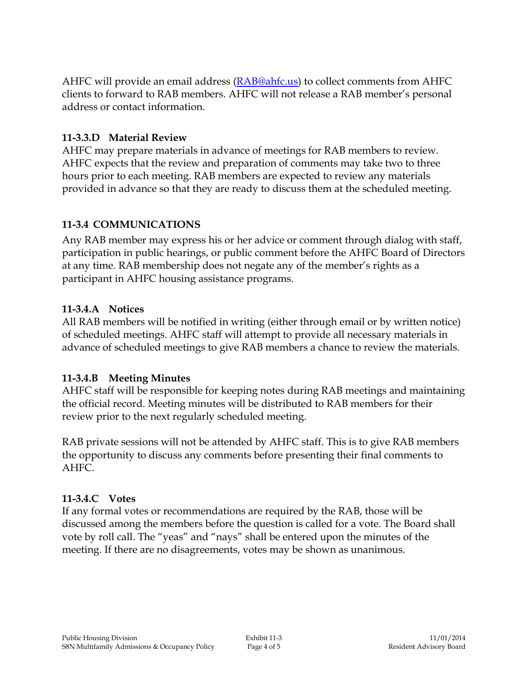AHFC will provide an email address [\(RAB@ahfc.us\)](mailto:RAB@ahfc.us) to collect comments from AHFC clients to forward to RAB members. AHFC will not release a RAB member's personal address or contact information.

## **11-3.3.D Material Review**

AHFC may prepare materials in advance of meetings for RAB members to review. AHFC expects that the review and preparation of comments may take two to three hours prior to each meeting. RAB members are expected to review any materials provided in advance so that they are ready to discuss them at the scheduled meeting.

## **11-3.4 COMMUNICATIONS**

Any RAB member may express his or her advice or comment through dialog with staff, participation in public hearings, or public comment before the AHFC Board of Directors at any time. RAB membership does not negate any of the member's rights as a participant in AHFC housing assistance programs.

## **11-3.4.A Notices**

All RAB members will be notified in writing (either through email or by written notice) of scheduled meetings. AHFC staff will attempt to provide all necessary materials in advance of scheduled meetings to give RAB members a chance to review the materials.

#### **11-3.4.B Meeting Minutes**

AHFC staff will be responsible for keeping notes during RAB meetings and maintaining the official record. Meeting minutes will be distributed to RAB members for their review prior to the next regularly scheduled meeting.

RAB private sessions will not be attended by AHFC staff. This is to give RAB members the opportunity to discuss any comments before presenting their final comments to AHFC.

#### **11-3.4.C Votes**

If any formal votes or recommendations are required by the RAB, those will be discussed among the members before the question is called for a vote. The Board shall vote by roll call. The "yeas" and "nays" shall be entered upon the minutes of the meeting. If there are no disagreements, votes may be shown as unanimous.